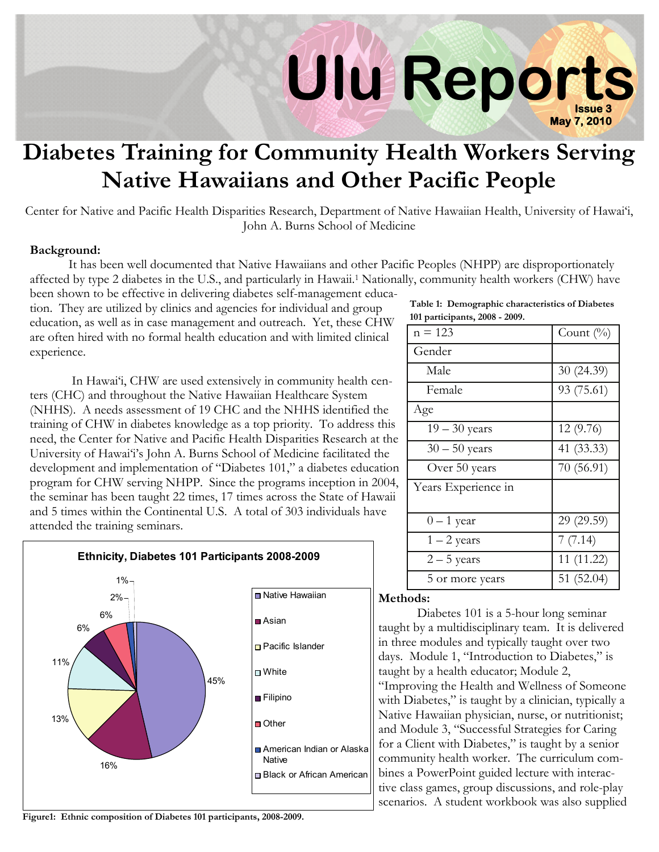# **Issue 3 Ulu Reports May 7, 2010**

## **Diabetes Training for Community Health Workers Serving Native Hawaiians and Other Pacific People**

Center for Native and Pacific Health Disparities Research, Department of Native Hawaiian Health, University of Hawai'i, John A. Burns School of Medicine

#### **Background:**

 It has been well documented that Native Hawaiians and other Pacific Peoples (NHPP) are disproportionately affected by type 2 diabetes in the U.S., and particularly in Hawaii.1 Nationally, community health workers (CHW) have been shown to be effective in delivering diabetes self-management educa-

tion. They are utilized by clinics and agencies for individual and group education, as well as in case management and outreach. Yet, these CHW are often hired with no formal health education and with limited clinical experience.

 In Hawai'i, CHW are used extensively in community health centers (CHC) and throughout the Native Hawaiian Healthcare System (NHHS). A needs assessment of 19 CHC and the NHHS identified the training of CHW in diabetes knowledge as a top priority. To address this need, the Center for Native and Pacific Health Disparities Research at the University of Hawai'i's John A. Burns School of Medicine facilitated the development and implementation of "Diabetes 101," a diabetes education program for CHW serving NHPP. Since the programs inception in 2004, the seminar has been taught 22 times, 17 times across the State of Hawaii and 5 times within the Continental U.S. A total of 303 individuals have attended the training seminars.



**Figure1: Ethnic composition of Diabetes 101 participants, 2008-2009.** 

| Table 1: Demographic characteristics of Diabetes |
|--------------------------------------------------|
| 101 participants, 2008 - 2009.                   |

| $n = 123$           | Count $(\%)$ |
|---------------------|--------------|
| Gender              |              |
| Male                | 30 (24.39)   |
| Female              | 93 (75.61)   |
| Age                 |              |
| $19 - 30$ years     | 12(9.76)     |
| $30 - 50$ years     | 41 (33.33)   |
| Over 50 years       | 70 (56.91)   |
| Years Experience in |              |
| $0 - 1$ year        | 29 (29.59)   |
| $1 - 2$ years       | 7(7.14)      |
| $2 - 5$ years       | 11 (11.22)   |
| 5 or more years     | 51(52.04)    |

#### **Methods:**

 Diabetes 101 is a 5-hour long seminar taught by a multidisciplinary team. It is delivered in three modules and typically taught over two days. Module 1, "Introduction to Diabetes," is taught by a health educator; Module 2, "Improving the Health and Wellness of Someone with Diabetes," is taught by a clinician, typically a Native Hawaiian physician, nurse, or nutritionist; and Module 3, "Successful Strategies for Caring for a Client with Diabetes," is taught by a senior community health worker. The curriculum combines a PowerPoint guided lecture with interactive class games, group discussions, and role-play scenarios. A student workbook was also supplied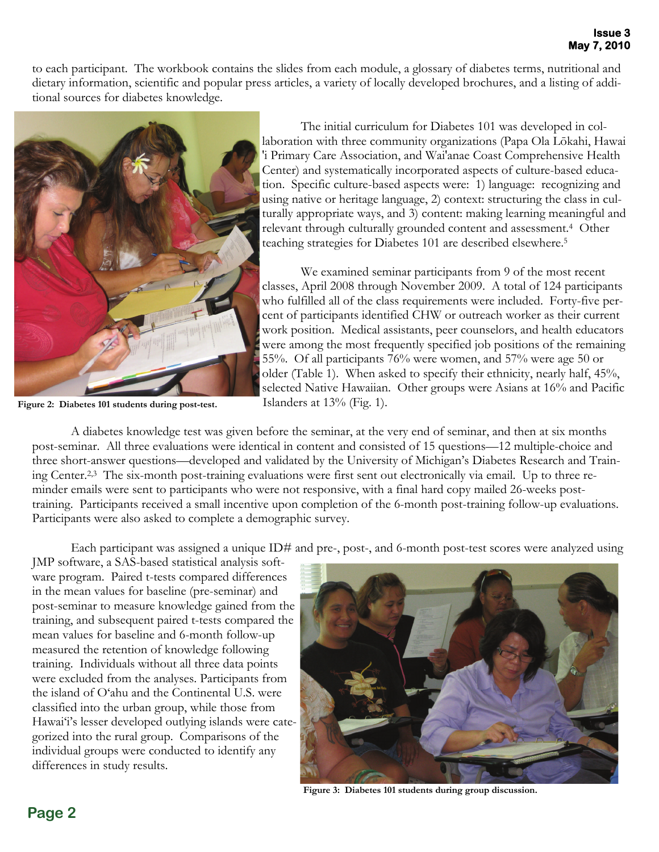to each participant. The workbook contains the slides from each module, a glossary of diabetes terms, nutritional and dietary information, scientific and popular press articles, a variety of locally developed brochures, and a listing of additional sources for diabetes knowledge.



**Figure 2: Diabetes 101 students during post-test.** 

 The initial curriculum for Diabetes 101 was developed in collaboration with three community organizations (Papa Ola Lōkahi, Hawai 'i Primary Care Association, and Wai'anae Coast Comprehensive Health Center) and systematically incorporated aspects of culture-based education. Specific culture-based aspects were: 1) language: recognizing and using native or heritage language, 2) context: structuring the class in culturally appropriate ways, and 3) content: making learning meaningful and relevant through culturally grounded content and assessment.4 Other teaching strategies for Diabetes 101 are described elsewhere.5

 We examined seminar participants from 9 of the most recent classes, April 2008 through November 2009. A total of 124 participants who fulfilled all of the class requirements were included. Forty-five percent of participants identified CHW or outreach worker as their current work position. Medical assistants, peer counselors, and health educators were among the most frequently specified job positions of the remaining 55%. Of all participants 76% were women, and 57% were age 50 or older (Table 1). When asked to specify their ethnicity, nearly half, 45%, selected Native Hawaiian. Other groups were Asians at 16% and Pacific Islanders at 13% (Fig. 1).

 A diabetes knowledge test was given before the seminar, at the very end of seminar, and then at six months post-seminar. All three evaluations were identical in content and consisted of 15 questions—12 multiple-choice and three short-answer questions—developed and validated by the University of Michigan's Diabetes Research and Training Center.2,3 The six-month post-training evaluations were first sent out electronically via email. Up to three reminder emails were sent to participants who were not responsive, with a final hard copy mailed 26-weeks posttraining. Participants received a small incentive upon completion of the 6-month post-training follow-up evaluations. Participants were also asked to complete a demographic survey.

Each participant was assigned a unique ID# and pre-, post-, and 6-month post-test scores were analyzed using

JMP software, a SAS-based statistical analysis software program. Paired t-tests compared differences in the mean values for baseline (pre-seminar) and post-seminar to measure knowledge gained from the training, and subsequent paired t-tests compared the mean values for baseline and 6-month follow-up measured the retention of knowledge following training. Individuals without all three data points were excluded from the analyses. Participants from the island of O'ahu and the Continental U.S. were classified into the urban group, while those from Hawai'i's lesser developed outlying islands were categorized into the rural group. Comparisons of the individual groups were conducted to identify any differences in study results.



**Figure 3: Diabetes 101 students during group discussion.**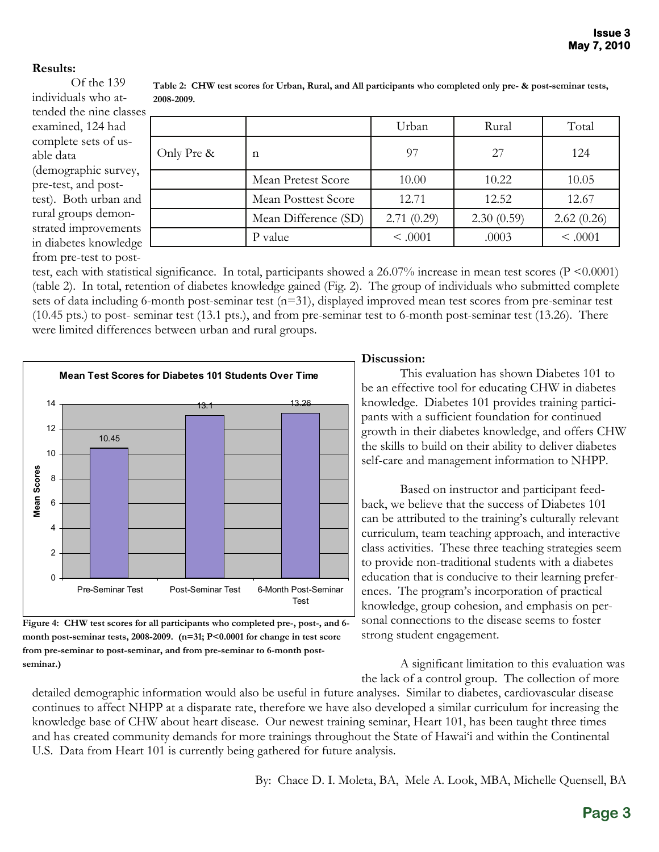### **Results:**

 Of the 139 individuals who attended the nine classes examined, 124 had complete sets of usable data (demographic survey, pre-test, and posttest). Both urban and rural groups demonstrated improvements in diabetes knowledge from pre-test to post-

|            |                      | Urban      | Rural      | Total      |
|------------|----------------------|------------|------------|------------|
| Only Pre & | n                    | 97         | 27         | 124        |
|            | Mean Pretest Score   | 10.00      | 10.22      | 10.05      |
|            | Mean Posttest Score  | 12.71      | 12.52      | 12.67      |
|            | Mean Difference (SD) | 2.71(0.29) | 2.30(0.59) | 2.62(0.26) |
|            | P value              | < .0001    | .0003      | < .0001    |

**Table 2: CHW test scores for Urban, Rural, and All participants who completed only pre- & post-seminar tests, 2008-2009.** 

test, each with statistical significance. In total, participants showed a 26.07% increase in mean test scores (P <0.0001) (table 2). In total, retention of diabetes knowledge gained (Fig. 2). The group of individuals who submitted complete sets of data including 6-month post-seminar test (n=31), displayed improved mean test scores from pre-seminar test (10.45 pts.) to post- seminar test (13.1 pts.), and from pre-seminar test to 6-month post-seminar test (13.26). There were limited differences between urban and rural groups.



**Figure 4: CHW test scores for all participants who completed pre-, post-, and 6 month post-seminar tests, 2008-2009. (n=31; P<0.0001 for change in test score from pre-seminar to post-seminar, and from pre-seminar to 6-month postseminar.)** 

#### **Discussion:**

 This evaluation has shown Diabetes 101 to be an effective tool for educating CHW in diabetes knowledge. Diabetes 101 provides training participants with a sufficient foundation for continued growth in their diabetes knowledge, and offers CHW the skills to build on their ability to deliver diabetes self-care and management information to NHPP.

 Based on instructor and participant feedback, we believe that the success of Diabetes 101 can be attributed to the training's culturally relevant curriculum, team teaching approach, and interactive class activities. These three teaching strategies seem to provide non-traditional students with a diabetes education that is conducive to their learning preferences. The program's incorporation of practical knowledge, group cohesion, and emphasis on personal connections to the disease seems to foster strong student engagement.

 A significant limitation to this evaluation was the lack of a control group. The collection of more

detailed demographic information would also be useful in future analyses. Similar to diabetes, cardiovascular disease continues to affect NHPP at a disparate rate, therefore we have also developed a similar curriculum for increasing the knowledge base of CHW about heart disease. Our newest training seminar, Heart 101, has been taught three times and has created community demands for more trainings throughout the State of Hawai'i and within the Continental U.S. Data from Heart 101 is currently being gathered for future analysis.

By: Chace D. I. Moleta, BA, Mele A. Look, MBA, Michelle Quensell, BA